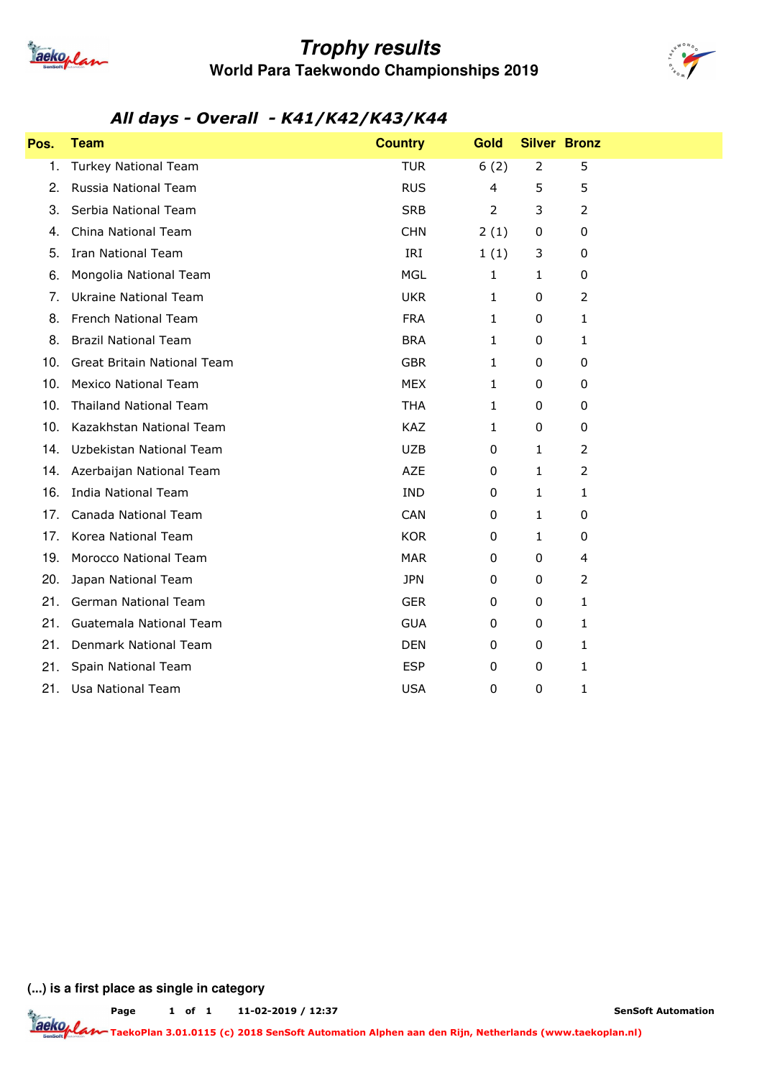

## **Trophy results World Para Taekwondo Championships 2019**



### *All days - Overall - K41/K42/K43/K44*

| Pos. | <b>Team</b>                   | <b>Country</b> | <b>Gold</b>    |                | <b>Silver Bronz</b> |
|------|-------------------------------|----------------|----------------|----------------|---------------------|
| 1.   | <b>Turkey National Team</b>   | <b>TUR</b>     | 6(2)           | $\overline{2}$ | 5                   |
| 2.   | Russia National Team          | <b>RUS</b>     | 4              | 5              | 5                   |
| 3.   | Serbia National Team          | <b>SRB</b>     | $\overline{2}$ | 3              | 2                   |
| 4.   | China National Team           | <b>CHN</b>     | 2(1)           | 0              | 0                   |
| 5.   | <b>Iran National Team</b>     | IRI            | 1(1)           | 3              | 0                   |
| 6.   | Mongolia National Team        | <b>MGL</b>     | $\mathbf{1}$   | 1              | 0                   |
| 7.   | <b>Ukraine National Team</b>  | <b>UKR</b>     | $\mathbf{1}$   | 0              | $\overline{2}$      |
| 8.   | French National Team          | <b>FRA</b>     | $\mathbf{1}$   | 0              | 1                   |
| 8.   | <b>Brazil National Team</b>   | <b>BRA</b>     | 1              | 0              | 1                   |
| 10.  | Great Britain National Team   | <b>GBR</b>     | 1              | 0              | 0                   |
| 10.  | <b>Mexico National Team</b>   | <b>MEX</b>     | $\mathbf{1}$   | 0              | 0                   |
| 10.  | <b>Thailand National Team</b> | <b>THA</b>     | 1              | 0              | 0                   |
| 10.  | Kazakhstan National Team      | KAZ            | $\mathbf{1}$   | 0              | 0                   |
| 14.  | Uzbekistan National Team      | <b>UZB</b>     | $\pmb{0}$      | 1              | 2                   |
| 14.  | Azerbaijan National Team      | <b>AZE</b>     | $\pmb{0}$      | $\mathbf{1}$   | $\overline{2}$      |
| 16.  | <b>India National Team</b>    | <b>IND</b>     | 0              | 1              | 1                   |
| 17.  | Canada National Team          | <b>CAN</b>     | 0              | 1              | 0                   |
| 17.  | Korea National Team           | <b>KOR</b>     | 0              | 1              | 0                   |
| 19.  | Morocco National Team         | <b>MAR</b>     | 0              | 0              | 4                   |
| 20.  | Japan National Team           | <b>JPN</b>     | 0              | 0              | $\overline{2}$      |
| 21.  | <b>German National Team</b>   | <b>GER</b>     | 0              | 0              | 1                   |
| 21.  | Guatemala National Team       | <b>GUA</b>     | 0              | 0              | 1                   |
| 21.  | Denmark National Team         | <b>DEN</b>     | 0              | 0              | 1                   |
| 21.  | Spain National Team           | <b>ESP</b>     | 0              | 0              | 1                   |
| 21.  | Usa National Team             | <b>USA</b>     | 0              | 0              | 1                   |

**(...) is a first place as single in category**

**Page of 1 11-02-2019 / 12:37 1**

**SenSoft Automation**

**TaekoPlan 3.01.0115 (c) 2018 SenSoft Automation Alphen aan den Rijn, Netherlands (www.taekoplan.nl)**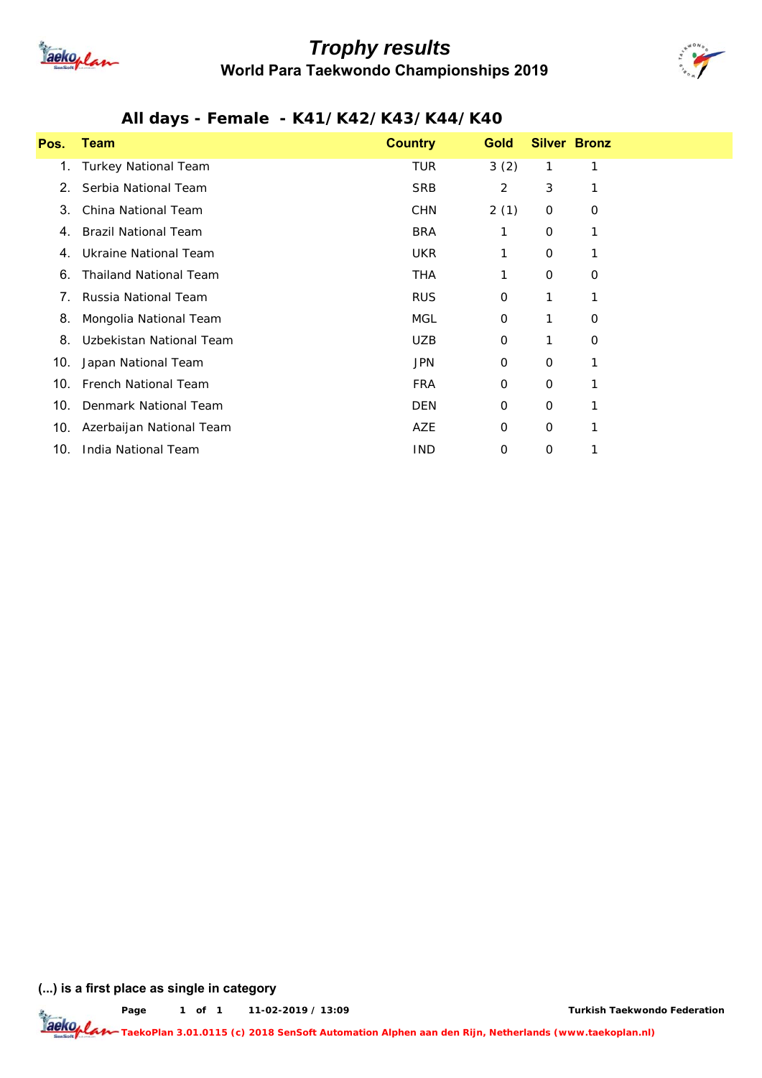

## *Trophy results* **World Para Taekwondo Championships 2019**



#### *All days - Female - K41/K42/K43/K44/K40*

| Pos. | Team                          | <b>Country</b> | <b>Gold</b> |   | <b>Silver Bronz</b> |
|------|-------------------------------|----------------|-------------|---|---------------------|
| 1.   | <b>Turkey National Team</b>   | TUR            | 3(2)        | 1 | 1                   |
| 2.   | Serbia National Team          | <b>SRB</b>     | 2           | 3 |                     |
| 3.   | China National Team           | <b>CHN</b>     | 2(1)        | 0 | 0                   |
| 4.   | <b>Brazil National Team</b>   | <b>BRA</b>     | 1           | 0 |                     |
| 4.   | Ukraine National Team         | <b>UKR</b>     | 1           | 0 |                     |
| 6.   | <b>Thailand National Team</b> | THA            | 1           | 0 | 0                   |
| 7.   | Russia National Team          | <b>RUS</b>     | 0           | 1 |                     |
| 8.   | Mongolia National Team        | MGL            | 0           |   | 0                   |
| 8.   | Uzbekistan National Team      | <b>UZB</b>     | 0           | 1 | $\mathbf 0$         |
| 10.  | Japan National Team           | <b>JPN</b>     | 0           | 0 |                     |
| 10.  | <b>French National Team</b>   | <b>FRA</b>     | 0           | 0 |                     |
| 10.  | Denmark National Team         | <b>DEN</b>     | 0           | 0 |                     |
| 10.  | Azerbaijan National Team      | AZE            | 0           | 0 |                     |
| 10.  | India National Team           | <b>IND</b>     | 0           | 0 |                     |

**(...) is a first place as single in category**

**Page of 1 11-02-2019 / 13:09 1**

**Turkish Taekwondo Federation**

**Taeko<sub>p</sub> Lan TaekoPlan 3.01.0115 (c) 2018 SenSoft Automation Alphen aan den Rijn, Netherlands (www.taekoplan.nl)**